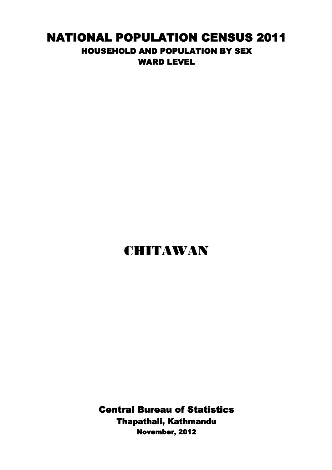## NATIONAL POPULATION CENSUS 2011 HOUSEHOLD AND POPULATION BY SEX WARD LEVEL

## CHITAWAN

Central Bureau of Statistics Thapathali, Kathmandu November, 2012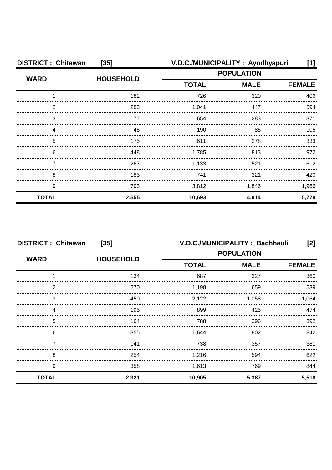| <b>DISTRICT: Chitawan</b><br>$[35]$ |                  | V.D.C./MUNICIPALITY: Ayodhyapuri |                   | [1]           |
|-------------------------------------|------------------|----------------------------------|-------------------|---------------|
| <b>WARD</b>                         | <b>HOUSEHOLD</b> |                                  | <b>POPULATION</b> |               |
|                                     |                  | <b>TOTAL</b>                     | <b>MALE</b>       | <b>FEMALE</b> |
|                                     | 182              | 726                              | 320               | 406           |
| ົ                                   | 283              | 1,041                            | 447               | 594           |
| 3                                   | 177              | 654                              | 283               | 371           |
|                                     | 45               | 190                              | 85                | 105           |
| 5                                   | 175              | 611                              | 278               | 333           |
| 6                                   | 448              | 1,785                            | 813               | 972           |
|                                     | 267              | 1,133                            | 521               | 612           |
| 8                                   | 185              | 741                              | 321               | 420           |
| 9                                   | 793              | 3,812                            | 1,846             | 1,966         |
| <b>TOTAL</b>                        | 2,555            | 10,693                           | 4,914             | 5,779         |

| <b>DISTRICT: Chitawan</b><br>$[35]$ |                  | V.D.C./MUNICIPALITY: Bachhauli<br>[2] |                   |               |
|-------------------------------------|------------------|---------------------------------------|-------------------|---------------|
|                                     |                  |                                       | <b>POPULATION</b> |               |
| <b>WARD</b>                         | <b>HOUSEHOLD</b> | <b>TOTAL</b>                          | <b>MALE</b>       | <b>FEMALE</b> |
|                                     | 134              | 687                                   | 327               | 360           |
| 2                                   | 270              | 1,198                                 | 659               | 539           |
| 3                                   | 450              | 2,122                                 | 1.058             | 1,064         |
|                                     | 195              | 899                                   | 425               | 474           |
| 5                                   | 164              | 788                                   | 396               | 392           |
| 6                                   | 355              | 1,644                                 | 802               | 842           |
|                                     | 141              | 738                                   | 357               | 381           |
| 8                                   | 254              | 1,216                                 | 594               | 622           |
| 9                                   | 358              | 1,613                                 | 769               | 844           |
| <b>TOTAL</b>                        | 2,321            | 10,905                                | 5,387             | 5,518         |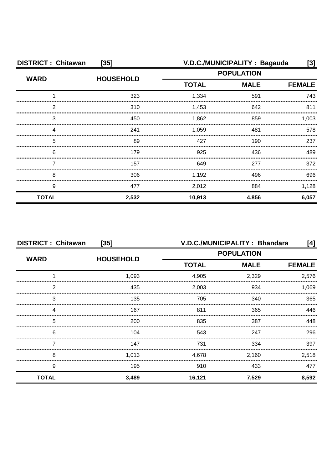| <b>DISTRICT: Chitawan</b> | $[35]$           | V.D.C./MUNICIPALITY : Bagauda<br>[3]         |                   |       |
|---------------------------|------------------|----------------------------------------------|-------------------|-------|
| <b>WARD</b>               | <b>HOUSEHOLD</b> |                                              | <b>POPULATION</b> |       |
|                           |                  | <b>MALE</b><br><b>TOTAL</b><br><b>FEMALE</b> |                   |       |
|                           | 323              | 1,334                                        | 591               | 743   |
| っ                         | 310              | 1,453                                        | 642               | 811   |
| 3                         | 450              | 1,862                                        | 859               | 1.003 |
|                           | 241              | 1,059                                        | 481               | 578   |
| 5                         | 89               | 427                                          | 190               | 237   |
| 6                         | 179              | 925                                          | 436               | 489   |
|                           | 157              | 649                                          | 277               | 372   |
| 8                         | 306              | 1,192                                        | 496               | 696   |
| 9                         | 477              | 2,012                                        | 884               | 1,128 |
| <b>TOTAL</b>              | 2,532            | 10,913                                       | 4,856             | 6,057 |

| <b>DISTRICT: Chitawan</b><br>$[35]$ |                  | V.D.C./MUNICIPALITY: Bhandara<br>[4] |             |               |
|-------------------------------------|------------------|--------------------------------------|-------------|---------------|
|                                     |                  | <b>POPULATION</b>                    |             |               |
| <b>WARD</b>                         | <b>HOUSEHOLD</b> | <b>TOTAL</b>                         | <b>MALE</b> | <b>FEMALE</b> |
|                                     | 1,093            | 4,905                                | 2,329       | 2,576         |
| 2                                   | 435              | 2,003                                | 934         | 1.069         |
| 3                                   | 135              | 705                                  | 340         | 365           |
| Δ                                   | 167              | 811                                  | 365         | 446           |
| 5                                   | 200              | 835                                  | 387         | 448           |
| 6                                   | 104              | 543                                  | 247         | 296           |
|                                     | 147              | 731                                  | 334         | 397           |
| 8                                   | 1,013            | 4,678                                | 2,160       | 2,518         |
| 9                                   | 195              | 910                                  | 433         | 477           |
| <b>TOTAL</b>                        | 3,489            | 16,121                               | 7,529       | 8,592         |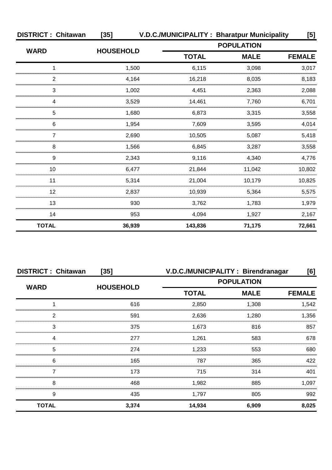| <b>DISTRICT: Chitawan</b> | $[35]$           | V.D.C./MUNICIPALITY: Bharatpur Municipality |                   | [5]           |
|---------------------------|------------------|---------------------------------------------|-------------------|---------------|
|                           |                  |                                             | <b>POPULATION</b> |               |
| <b>WARD</b>               | <b>HOUSEHOLD</b> | <b>TOTAL</b>                                | <b>MALE</b>       | <b>FEMALE</b> |
|                           | 1,500            | 6,115                                       | 3,098             | 3,017         |
| 2                         | 4,164            | 16,218                                      | 8,035             | 8,183         |
| 3                         | 1,002            | 4,451                                       | 2,363             | 2,088         |
| 4                         | 3,529            | 14.461                                      | 7,760             | 6,701         |
| 5                         | 1,680            | 6,873                                       | 3,315             | 3,558         |
| 6                         | 1,954            | 7,609                                       | 3,595             | 4,014         |
|                           | 2,690            | 10,505                                      | 5,087             | 5,418         |
| 8                         | 1,566            | 6,845                                       | 3,287             | 3,558         |
| 9                         | 2,343            | 9,116                                       | 4,340             | 4,776         |
| 10                        | 6,477            | 21,844                                      | 11,042            | 10,802        |
| 11                        | 5,314            | 21,004                                      | 10,179            | 10,825        |
| 12                        | 2,837            | 10,939                                      | 5,364             | 5,575         |
| 13                        | 930              | 3,762                                       | 1,783             | 1,979         |
| 14                        | 953              | 4,094                                       | 1,927             | 2,167         |
| <b>TOTAL</b>              | 36,939           | 143,836                                     | 71,175            | 72,661        |

| <b>DISTRICT: Chitawan</b><br>$[35]$ |                  | V.D.C./MUNICIPALITY: Birendranagar<br>[6] |             |               |
|-------------------------------------|------------------|-------------------------------------------|-------------|---------------|
| <b>WARD</b>                         | <b>HOUSEHOLD</b> | <b>POPULATION</b>                         |             |               |
|                                     |                  | <b>TOTAL</b>                              | <b>MALE</b> | <b>FEMALE</b> |
|                                     | 616              | 2,850                                     | 1,308       | 1,542         |
| 2                                   | 591              | 2,636                                     | 1,280       | 1,356         |
| 3                                   | 375              | 1,673                                     | 816         | 857           |
|                                     | 277              | 1.261                                     | 583         | 678           |
| 5                                   | 274              | 1,233                                     | 553         | 680           |
| 6                                   | 165              | 787                                       | 365         | 422           |
|                                     | 173              | 715                                       | 314         | 401           |
| 8                                   | 468              | 1,982                                     | 885         | 1,097         |
| 9                                   | 435              | 1,797                                     | 805         | 992           |
| <b>TOTAL</b>                        | 3,374            | 14,934                                    | 6,909       | 8,025         |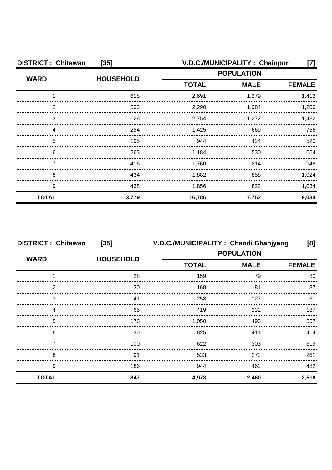| <b>DISTRICT: Chitawan</b><br>$[35]$ |                  | V.D.C./MUNICIPALITY: Chainpur |                   | [7]           |
|-------------------------------------|------------------|-------------------------------|-------------------|---------------|
| <b>WARD</b>                         | <b>HOUSEHOLD</b> |                               | <b>POPULATION</b> |               |
|                                     |                  | <b>MALE</b><br><b>TOTAL</b>   |                   | <b>FEMALE</b> |
|                                     | 618              | 2,691                         | 1,279             | 1,412         |
| ◠                                   | 503              | 2,290                         | 1,084             | 1,206         |
| 3                                   | 628              | 2,754                         | 1.272             | 1.482         |
|                                     | 284              | 1,425                         | 669               | 756           |
| 5                                   | 195              | 944                           | 424               | 520           |
| 6                                   | 263              | 1,184                         | 530               | 654           |
|                                     | 416              | 1,760                         | 814               | 946           |
| 8                                   | 434              | 1,882                         | 858               | 1,024         |
| 9                                   | 438              | 1,856                         | 822               | 1,034         |
| <b>TOTAL</b>                        | 3,779            | 16,786                        | 7,752             | 9,034         |

| <b>DISTRICT: Chitawan</b> | $[35]$           | V.D.C./MUNICIPALITY: Chandi Bhanjyang<br>[8] |                   |               |
|---------------------------|------------------|----------------------------------------------|-------------------|---------------|
| <b>WARD</b>               |                  |                                              | <b>POPULATION</b> |               |
|                           | <b>HOUSEHOLD</b> | <b>TOTAL</b>                                 | <b>MALE</b>       | <b>FEMALE</b> |
|                           | 28               | 159                                          | 79                | 80            |
| っ                         | 30               | 168                                          | 81                | 87            |
| 3                         |                  | 258                                          | 127               | 131           |
|                           | 65               | 419                                          | 232               | 187           |
| 5                         | 176              | 1.050                                        | 493               | 557           |
| 6                         | 130              | 825                                          | 411               | 414           |
|                           | 100              | 622                                          | 303               | 319           |
| 8                         | 91               | 533                                          | 272               | 261           |
| 9                         | 186              | 944                                          | 462               | 482           |
| <b>TOTAL</b>              | 847              | 4,978                                        | 2,460             | 2,518         |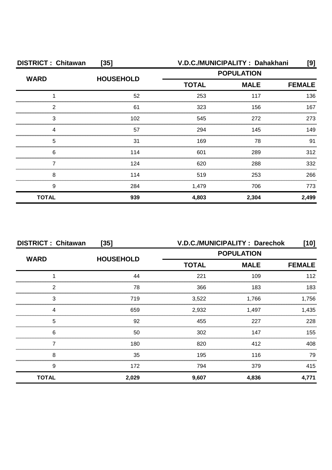| <b>DISTRICT: Chitawan</b><br>$[35]$ |                  | V.D.C./MUNICIPALITY: Dahakhani |       | [9]           |
|-------------------------------------|------------------|--------------------------------|-------|---------------|
| <b>WARD</b>                         | <b>HOUSEHOLD</b> | <b>POPULATION</b>              |       |               |
|                                     |                  | <b>TOTAL</b><br><b>MALE</b>    |       | <b>FEMALE</b> |
|                                     | 52               | 253                            | 117   | 136           |
| っ                                   | 61               | 323                            | 156   | 167           |
| 3                                   | 102              | 545                            | 272   | 273           |
|                                     | 57               | 294                            | 145   | 149           |
| 5                                   | 31               | 169                            | 78    | 91            |
| 6                                   | 114              | 601                            | 289   | 312           |
|                                     | 124              | 620                            | 288   | 332           |
| 8                                   | 114              | 519                            | 253   | 266           |
| 9                                   | 284              | 1,479                          | 706   | 773           |
| <b>TOTAL</b>                        | 939              | 4,803                          | 2,304 | 2,499         |

| <b>DISTRICT: Chitawan</b><br>$[35]$ |                  | V.D.C./MUNICIPALITY: Darechok<br>$[10]$ |             |               |
|-------------------------------------|------------------|-----------------------------------------|-------------|---------------|
|                                     |                  | <b>POPULATION</b>                       |             |               |
| <b>WARD</b>                         | <b>HOUSEHOLD</b> | <b>TOTAL</b>                            | <b>MALE</b> | <b>FEMALE</b> |
|                                     | 44               | 221                                     | 109         | 112           |
| 2                                   | 78               | 366                                     | 183         | 183           |
| 3                                   | 719              | 3,522                                   | 1,766       | .756          |
| Δ                                   | 659              | 2,932                                   | 1,497       | 1.435         |
| 5                                   | 92               | 455                                     | 227         | 228           |
| 6                                   | 50               | 302                                     | 147         | 155           |
|                                     | 180              | 820                                     | 412         | 408           |
| 8                                   | 35               | 195                                     | 116         | 79            |
| 9                                   | 172              | 794                                     | 379         | 415           |
| <b>TOTAL</b>                        | 2,029            | 9,607                                   | 4,836       | 4,771         |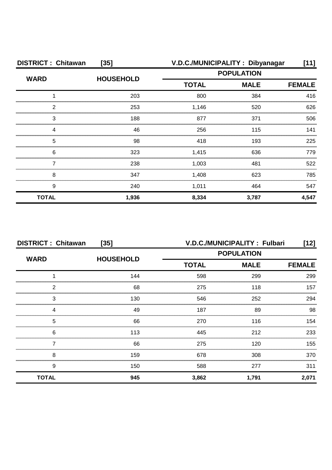| <b>DISTRICT: Chitawan</b><br>$[35]$ |                  |                   | V.D.C./MUNICIPALITY: Dibyanagar | $[11]$        |
|-------------------------------------|------------------|-------------------|---------------------------------|---------------|
| <b>WARD</b>                         | <b>HOUSEHOLD</b> | <b>POPULATION</b> |                                 |               |
|                                     |                  | <b>TOTAL</b>      | <b>MALE</b>                     | <b>FEMALE</b> |
|                                     | 203              | 800               | 384                             | 416           |
| ົ                                   | 253              | 1,146             | 520                             | 626           |
| 3                                   | 188              | 877               | 371                             | 506           |
|                                     | 46               | 256               | 115                             | 141           |
| 5                                   | 98               | 418               | 193                             | 225           |
| 6                                   | 323              | 1,415             | 636                             | 779           |
|                                     | 238              | 1,003             | 481                             | 522           |
| 8                                   | 347              | 1,408             | 623                             | 785           |
| 9                                   | 240              | 1,011             | 464                             | 547           |
| <b>TOTAL</b>                        | 1,936            | 8,334             | 3,787                           | 4,547         |

| <b>DISTRICT: Chitawan</b><br>$[35]$ |                  |              | V.D.C./MUNICIPALITY: Fulbari<br>[12] |               |  |
|-------------------------------------|------------------|--------------|--------------------------------------|---------------|--|
| <b>WARD</b>                         | <b>HOUSEHOLD</b> |              | <b>POPULATION</b>                    |               |  |
|                                     |                  | <b>TOTAL</b> | <b>MALE</b>                          | <b>FEMALE</b> |  |
|                                     | 144              | 598          | 299                                  | 299           |  |
| 2                                   | 68               | 275          | 118                                  | 157           |  |
| 3                                   | 130              | 546          | 252                                  | 294           |  |
|                                     | 49               | 187          | 89                                   | 98            |  |
| 5                                   | 66               | 270          | 116                                  | 154           |  |
| 6                                   | 113              | 445          | 212                                  | 233           |  |
|                                     | 66               | 275          | 120                                  | 155           |  |
| 8                                   | 159              | 678          | 308                                  | 370           |  |
| 9                                   | 150              | 588          | 277                                  | 311           |  |
| <b>TOTAL</b>                        | 945              | 3,862        | 1,791                                | 2,071         |  |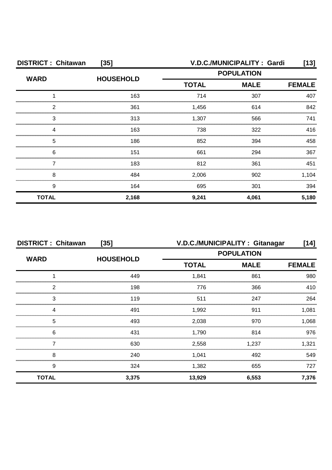| <b>DISTRICT: Chitawan</b><br>$[35]$ |                  |                   | V.D.C./MUNICIPALITY: Gardi | [13]          |
|-------------------------------------|------------------|-------------------|----------------------------|---------------|
| <b>WARD</b>                         | <b>HOUSEHOLD</b> | <b>POPULATION</b> |                            |               |
|                                     |                  | <b>TOTAL</b>      | <b>MALE</b>                | <b>FEMALE</b> |
|                                     | 163              | 714               | 307                        | 407           |
| 2                                   | 361              | 1,456             | 614                        | 842           |
| З                                   | 313              | 1.307             | 566                        | 741           |
|                                     | 163              | 738               | 322                        | 416           |
| 5                                   | 186              | 852               | 394                        | 458           |
| 6                                   | 151              | 661               | 294                        | 367           |
|                                     | 183              | 812               | 361                        | 451           |
| 8                                   | 484              | 2,006             | 902                        | 1,104         |
| 9                                   | 164              | 695               | 301                        | 394           |
| <b>TOTAL</b>                        | 2,168            | 9,241             | 4,061                      | 5,180         |

| <b>DISTRICT: Chitawan</b><br>$[35]$ |                  |              | V.D.C./MUNICIPALITY: Gitanagar | [14]          |
|-------------------------------------|------------------|--------------|--------------------------------|---------------|
| <b>WARD</b>                         | <b>HOUSEHOLD</b> |              | <b>POPULATION</b>              |               |
|                                     |                  | <b>TOTAL</b> | <b>MALE</b>                    | <b>FEMALE</b> |
|                                     | 449              | 1,841        | 861                            | 980           |
| っ                                   | 198              | 776          | 366                            | 410           |
| 3                                   | 119              | 511          | 247                            | 264           |
|                                     | 491              | 1,992        | 911                            | 1.081         |
| 5                                   | 493              | 2,038        | 970                            | 1.068         |
| 6                                   | 431              | 1,790        | 814                            | 976           |
|                                     | 630              | 2,558        | 1,237                          | 1,321         |
| 8                                   | 240              | 1,041        | 492                            | 549           |
| 9                                   | 324              | 1,382        | 655                            | 727           |
| <b>TOTAL</b>                        | 3,375            | 13,929       | 6,553                          | 7,376         |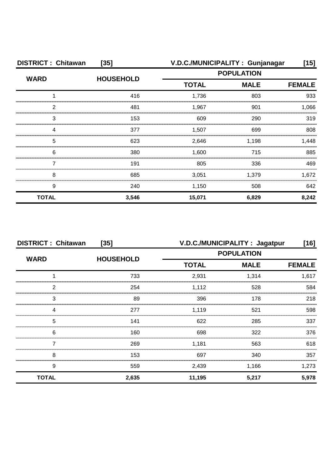| <b>DISTRICT: Chitawan</b> | $[35]$           |              | V.D.C./MUNICIPALITY: Gunjanagar | [15]          |
|---------------------------|------------------|--------------|---------------------------------|---------------|
| <b>WARD</b>               |                  |              | <b>POPULATION</b>               |               |
|                           | <b>HOUSEHOLD</b> | <b>TOTAL</b> | <b>MALE</b>                     | <b>FEMALE</b> |
|                           | 416              | 1,736        | 803                             | 933           |
| 2                         | 481              | 1,967        | 901                             | 1,066         |
| 3                         | 153              | 609          | 290                             | 319           |
|                           | 377              | 1,507        | 699                             | 808           |
| 5                         | 623              | 2,646        | 1,198                           | 1,448         |
| 6                         | 380              | 1,600        | 715                             | 885           |
|                           | 191              | 805          | 336                             | 469           |
| 8                         | 685              | 3,051        | 1,379                           | 1,672         |
| 9                         | 240              | 1,150        | 508                             | 642           |
| <b>TOTAL</b>              | 3,546            | 15,071       | 6,829                           | 8,242         |

| <b>DISTRICT: Chitawan</b><br>$[35]$ |                  | V.D.C./MUNICIPALITY: Jagatpur<br>[16] |                   |               |
|-------------------------------------|------------------|---------------------------------------|-------------------|---------------|
| <b>WARD</b>                         | <b>HOUSEHOLD</b> |                                       | <b>POPULATION</b> |               |
|                                     |                  | <b>TOTAL</b>                          | <b>MALE</b>       | <b>FEMALE</b> |
|                                     | 733              | 2,931                                 | 1,314             | 1,617         |
| っ                                   | 254              | 1,112                                 | 528               | 584           |
| 3                                   | 89               | 396                                   | 178               | 218           |
|                                     | 277              | 1,119                                 | 521               | 598           |
| 5                                   | 141              | 622                                   | 285               | 337           |
| 6                                   | 160              | 698                                   | 322               | 376           |
|                                     | 269              | 1,181                                 | 563               | 618           |
| 8                                   | 153              | 697                                   | 340               | 357           |
| 9                                   | 559              | 2,439                                 | 1,166             | 1,273         |
| <b>TOTAL</b>                        | 2,635            | 11,195                                | 5,217             | 5,978         |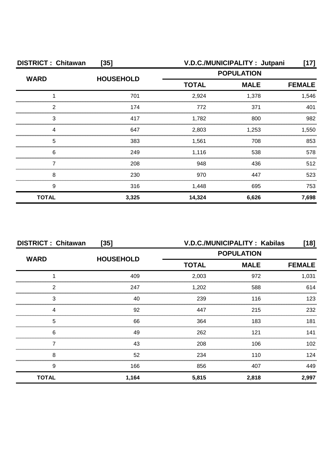| <b>DISTRICT: Chitawan</b><br>$[35]$ |                  | V.D.C./MUNICIPALITY: Jutpani |             | [17]          |
|-------------------------------------|------------------|------------------------------|-------------|---------------|
| <b>WARD</b>                         | <b>HOUSEHOLD</b> | <b>POPULATION</b>            |             |               |
|                                     |                  | <b>TOTAL</b>                 | <b>MALE</b> | <b>FEMALE</b> |
|                                     | 701              | 2,924                        | 1,378       | 1,546         |
| 2                                   | 174              | 772                          | 371         | 401           |
| 3                                   | 417              | 1,782                        | 800         | 982           |
|                                     | 647              | 2,803                        | 1,253       | 1,550         |
| 5                                   | 383              | 1,561                        | 708         | 853           |
| 6                                   | 249              | 1,116                        | 538         | 578           |
|                                     | 208              | 948                          | 436         | 512           |
| 8                                   | 230              | 970                          | 447         | 523           |
| 9                                   | 316              | 1,448                        | 695         | 753           |
| <b>TOTAL</b>                        | 3,325            | 14,324                       | 6,626       | 7,698         |

|              | <b>DISTRICT: Chitawan</b><br>$[35]$ |                   | V.D.C./MUNICIPALITY: Kabilas<br>$[18]$ |                  |  |
|--------------|-------------------------------------|-------------------|----------------------------------------|------------------|--|
| <b>WARD</b>  |                                     | <b>POPULATION</b> |                                        |                  |  |
|              | <b>HOUSEHOLD</b>                    | <b>TOTAL</b>      | <b>MALE</b>                            | <b>FEMALE</b>    |  |
|              | 409                                 | 2,003             | 972                                    | 1,031            |  |
| 2            | 247                                 | 1,202             | 588                                    | 614              |  |
| 3            | 40                                  | 239               | 116                                    | 123              |  |
| Δ            | 92                                  | 447               | 215                                    | 232              |  |
| 5            | 66                                  | 364               | 183                                    | 181              |  |
| 6            | 49                                  | 262               | 121                                    | 141              |  |
|              | 43                                  | 208               | 106                                    | 102 <sub>2</sub> |  |
| 8            | 52                                  | 234               | 110                                    | 124              |  |
| 9            | 166                                 | 856               | 407                                    | 449              |  |
| <b>TOTAL</b> | 1,164                               | 5,815             | 2,818                                  | 2,997            |  |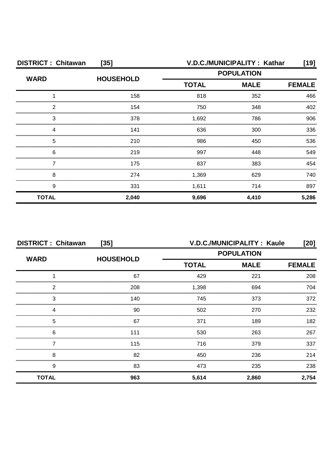| <b>DISTRICT: Chitawan</b><br>$[35]$ |                  | V.D.C./MUNICIPALITY: Kathar |                   | [19]          |
|-------------------------------------|------------------|-----------------------------|-------------------|---------------|
| <b>WARD</b>                         | <b>HOUSEHOLD</b> |                             | <b>POPULATION</b> |               |
|                                     |                  | <b>TOTAL</b>                | <b>MALE</b>       | <b>FEMALE</b> |
|                                     | 158              | 818                         | 352               | 466           |
| 2                                   | 154              | 750                         | 348               | 402           |
| 3                                   | 378              | 1,692                       | 786               | 906           |
|                                     | 141              | 636                         | 300               | 336           |
| 5                                   | 210              | 986                         | 450               | 536           |
| 6                                   | 219              | 997                         | 448               | 549           |
|                                     | 175              | 837                         | 383               | 454           |
| 8                                   | 274              | 1,369                       | 629               | 740           |
| 9                                   | 331              | 1,611                       | 714               | 897           |
| <b>TOTAL</b>                        | 2,040            | 9,696                       | 4,410             | 5,286         |

| <b>DISTRICT: Chitawan</b><br>$[35]$ |                  |                             | <b>V.D.C./MUNICIPALITY: Kaule</b> | [20]          |
|-------------------------------------|------------------|-----------------------------|-----------------------------------|---------------|
| <b>WARD</b>                         | <b>HOUSEHOLD</b> |                             | <b>POPULATION</b>                 |               |
|                                     |                  | <b>TOTAL</b><br><b>MALE</b> |                                   | <b>FEMALE</b> |
|                                     | 67               | 429                         | 221                               | 208           |
| っ                                   | 208              | 1,398                       | 694                               | 704           |
| 3                                   | 140              | 745                         | 373                               | 372           |
|                                     | 90               | 502                         | 270                               | 232           |
| 5                                   | 67               | 371                         | 189                               | 182           |
| 6                                   | 111              | 530                         | 263                               | 267           |
|                                     | 115              | 716                         | 379                               | 337           |
| 8                                   | 82               | 450                         | 236                               | 214           |
| 9                                   | 83               | 473                         | 235                               | 238           |
| <b>TOTAL</b>                        | 963              | 5,614                       | 2,860                             | 2,754         |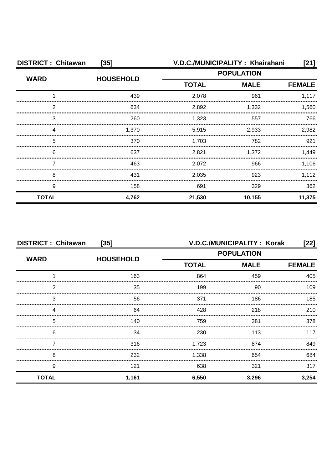| <b>DISTRICT: Chitawan</b><br>$[35]$ |                  |                   | V.D.C./MUNICIPALITY: Khairahani | [21]          |
|-------------------------------------|------------------|-------------------|---------------------------------|---------------|
| <b>WARD</b>                         | <b>HOUSEHOLD</b> | <b>POPULATION</b> |                                 |               |
|                                     |                  | <b>TOTAL</b>      | <b>MALE</b>                     | <b>FEMALE</b> |
|                                     | 439              | 2,078             | 961                             | 1,117         |
| ◠                                   | 634              | 2,892             | 1,332                           | 1,560         |
| 3                                   | 260              | 1,323             | 557                             | 766           |
|                                     | 1,370            | 5,915             | 2,933                           | 2,982         |
| 5                                   | 370              | 1,703             | 782                             | 921           |
| 6                                   | 637              | 2,821             | 1,372                           | 1.449         |
|                                     | 463              | 2,072             | 966                             | 1,106         |
| 8                                   | 431              | 2,035             | 923                             | 1,112         |
| 9                                   | 158              | 691               | 329                             | 362           |
| <b>TOTAL</b>                        | 4,762            | 21,530            | 10,155                          | 11,375        |

| <b>DISTRICT: Chitawan</b><br>$[35]$ |                  |                   | <b>V.D.C./MUNICIPALITY: Korak</b> | [22]          |
|-------------------------------------|------------------|-------------------|-----------------------------------|---------------|
| <b>WARD</b>                         | <b>HOUSEHOLD</b> | <b>POPULATION</b> |                                   |               |
|                                     |                  | <b>TOTAL</b>      | <b>MALE</b>                       | <b>FEMALE</b> |
|                                     | 163              | 864               | 459                               | 405           |
| 2                                   | 35               | 199               | 90                                | 109           |
| 3                                   | 56               | 371               | 186                               | 185           |
| Δ                                   | 64               | 428               | 218                               | 210           |
| 5                                   | 140              | 759               | 381                               | 378           |
| 6                                   | 34               | 230               | 113                               | 117           |
|                                     | 316              | 1,723             | 874                               | 849           |
| 8                                   | 232              | 1,338             | 654                               | 684           |
| 9                                   | 121              | 638               | 321                               | 317           |
| <b>TOTAL</b>                        | 1,161            | 6,550             | 3,296                             | 3,254         |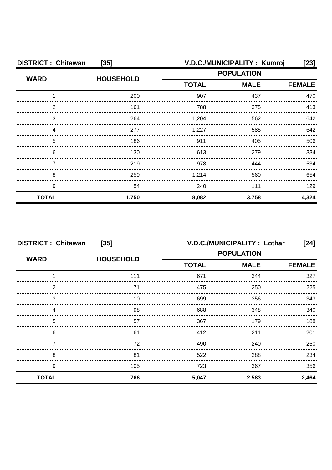| <b>DISTRICT: Chitawan</b><br>$[35]$ |                  | V.D.C./MUNICIPALITY: Kumroj |                   | $[23]$        |
|-------------------------------------|------------------|-----------------------------|-------------------|---------------|
| <b>WARD</b>                         | <b>HOUSEHOLD</b> |                             | <b>POPULATION</b> |               |
|                                     |                  | <b>TOTAL</b>                | <b>MALE</b>       | <b>FEMALE</b> |
|                                     | 200              | 907                         | 437               | 470           |
| ົ                                   | 161              | 788                         | 375               | 413           |
| 3                                   | 264              | 1,204                       | 562               | 642           |
|                                     | 277              | 1,227                       | 585               | 642           |
| 5                                   | 186              | 911                         | 405               | 506           |
| 6                                   | 130              | 613                         | 279               | 334           |
|                                     | 219              | 978                         | 444               | 534           |
| 8                                   | 259              | 1,214                       | 560               | 654           |
| 9                                   | 54               | 240                         | 111               | 129           |
| <b>TOTAL</b>                        | 1,750            | 8,082                       | 3,758             | 4,324         |

| <b>DISTRICT: Chitawan</b><br>$[35]$ |                  | V.D.C./MUNICIPALITY : Lothar<br>[24] |             |               |
|-------------------------------------|------------------|--------------------------------------|-------------|---------------|
| <b>WARD</b>                         | <b>HOUSEHOLD</b> | <b>POPULATION</b>                    |             |               |
|                                     |                  | <b>TOTAL</b>                         | <b>MALE</b> | <b>FEMALE</b> |
|                                     | 111              | 671                                  | 344         | 327           |
| 2                                   | 71               | 475                                  | 250         | 225           |
| 3                                   | 110              | 699                                  | 356         | 343           |
| 4                                   | 98               | 688                                  | 348         | 340           |
| 5                                   | 57               | 367                                  | 179         | 188           |
| 6                                   | 61               | 412                                  | 211         | 201           |
|                                     | 72               | 490                                  | 240         | 250           |
| 8                                   | 81               | 522                                  | 288         | 234           |
| 9                                   | 105              | 723                                  | 367         | 356           |
| <b>TOTAL</b>                        | 766              | 5,047                                | 2,583       | 2,464         |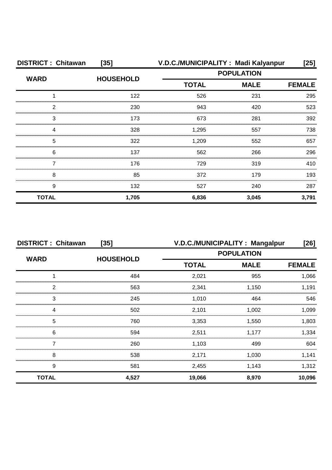| <b>DISTRICT: Chitawan</b> | $[35]$           |                   | V.D.C./MUNICIPALITY: Madi Kalyanpur | [25]          |
|---------------------------|------------------|-------------------|-------------------------------------|---------------|
| <b>WARD</b>               | <b>HOUSEHOLD</b> | <b>POPULATION</b> |                                     |               |
|                           |                  | <b>TOTAL</b>      | <b>MALE</b>                         | <b>FEMALE</b> |
|                           | 122              | 526               | 231                                 | 295           |
| 2                         | 230              | 943               | 420                                 | 523           |
| 3                         | 173              | 673               | 281                                 | 392           |
| Δ                         | 328              | 1,295             | 557                                 | 738           |
| 5                         | 322              | 1,209             | 552                                 | 657           |
| 6                         | 137              | 562               | 266                                 | 296           |
|                           | 176              | 729               | 319                                 | 410           |
| 8                         | 85               | 372               | 179                                 | 193           |
| 9                         | 132              | 527               | 240                                 | 287           |
| <b>TOTAL</b>              | 1,705            | 6,836             | 3,045                               | 3,791         |

| <b>DISTRICT: Chitawan</b><br>$[35]$ |                  | V.D.C./MUNICIPALITY: Mangalpur<br>$[26]$ |             |               |
|-------------------------------------|------------------|------------------------------------------|-------------|---------------|
|                                     |                  | <b>POPULATION</b>                        |             |               |
| <b>WARD</b>                         | <b>HOUSEHOLD</b> | <b>TOTAL</b>                             | <b>MALE</b> | <b>FEMALE</b> |
|                                     | 484              | 2,021                                    | 955         | 1,066         |
| っ                                   | 563              | 2,341                                    | 1.150       | 1.191         |
| 3                                   | 245              | 1.010                                    | 464         | 546           |
|                                     | 502              | 2,101                                    | 1.002       | 1.099         |
| 5                                   | 760              | 3,353                                    | 1.550       | 1.803         |
| 6                                   | 594              | 2,511                                    | 1,177       | 1.334         |
|                                     | 260              | 1,103                                    | 499         | 604           |
| 8                                   | 538              | 2,171                                    | 1,030       | 1,141         |
| 9                                   | 581              | 2,455                                    | 1,143       | 1,312         |
| <b>TOTAL</b>                        | 4,527            | 19,066                                   | 8,970       | 10,096        |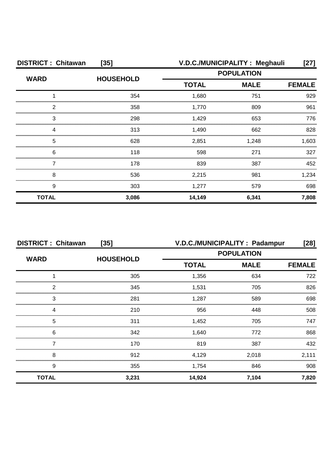| <b>DISTRICT: Chitawan</b><br>$[35]$ |                  | V.D.C./MUNICIPALITY: Meghauli<br>[27] |             |               |
|-------------------------------------|------------------|---------------------------------------|-------------|---------------|
|                                     | <b>HOUSEHOLD</b> | <b>POPULATION</b>                     |             |               |
| <b>WARD</b>                         |                  | <b>TOTAL</b>                          | <b>MALE</b> | <b>FEMALE</b> |
|                                     | 354              | 1,680                                 | 751         | 929           |
| っ                                   | 358              | 1.770                                 | 809         | 961           |
| 3                                   | 298              | 1.429                                 | 653         | 776           |
|                                     | 313              | 1,490                                 | 662         | 828           |
| 5                                   | 628              | 2,851                                 | 1,248       | 1,603         |
| 6                                   | 118              | 598                                   | 271         | 327           |
|                                     | 178              | 839                                   | 387         | 452           |
| 8                                   | 536              | 2,215                                 | 981         | 1,234         |
| 9                                   | 303              | 1,277                                 | 579         | 698           |
| <b>TOTAL</b>                        | 3,086            | 14,149                                | 6,341       | 7,808         |

| <b>DISTRICT: Chitawan</b><br>$[35]$ |                  | V.D.C./MUNICIPALITY : Padampur<br>[28] |                   |               |
|-------------------------------------|------------------|----------------------------------------|-------------------|---------------|
|                                     | <b>HOUSEHOLD</b> |                                        | <b>POPULATION</b> |               |
| <b>WARD</b>                         |                  | <b>TOTAL</b>                           | <b>MALE</b>       | <b>FEMALE</b> |
|                                     | 305              | 1,356                                  | 634               | 722           |
| ົ                                   | 345              | 1.531                                  | 705               | 826           |
| З                                   | 281              | 1.287                                  | 589               | 698           |
| 4                                   | 210              | 956                                    | 448               | 508           |
| 5                                   | 311              | 1,452                                  | 705               | 747           |
| 6                                   | 342              | 1,640                                  | 772               | 868           |
|                                     | 170              | 819                                    | 387               | 432           |
| 8                                   | 912              | 4,129                                  | 2,018             | 2,111         |
| 9                                   | 355              | 1,754                                  | 846               | 908           |
| <b>TOTAL</b>                        | 3,231            | 14,924                                 | 7,104             | 7,820         |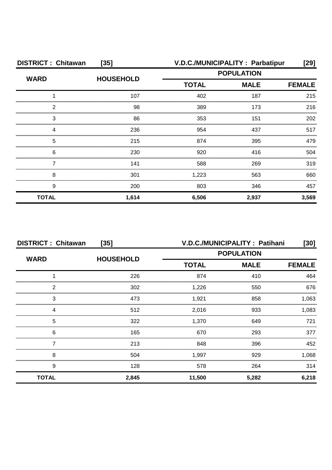| <b>DISTRICT: Chitawan</b><br>$[35]$ |                  |              | V.D.C./MUNICIPALITY: Parbatipur | [29]          |
|-------------------------------------|------------------|--------------|---------------------------------|---------------|
|                                     | <b>HOUSEHOLD</b> |              | <b>POPULATION</b>               |               |
| <b>WARD</b>                         |                  | <b>TOTAL</b> | <b>MALE</b>                     | <b>FEMALE</b> |
|                                     | 107              | 402          | 187                             | 215           |
| າ                                   | 98               | 389          | 173                             | 216           |
| 3                                   | 86               | 353          | 151                             | 202           |
|                                     | 236              | 954          | 437                             | 517           |
| 5                                   | 215              | 874          | 395                             | 479           |
| 6                                   | 230              | 920          | 416                             | 504           |
|                                     | 141              | 588          | 269                             | 319           |
| 8                                   | 301              | 1,223        | 563                             | 660           |
| 9                                   | 200              | 803          | 346                             | 457           |
| <b>TOTAL</b>                        | 1,614            | 6,506        | 2,937                           | 3,569         |

| <b>DISTRICT: Chitawan</b><br>$[35]$ |                  | V.D.C./MUNICIPALITY: Patihani<br>[30] |             |               |
|-------------------------------------|------------------|---------------------------------------|-------------|---------------|
| <b>WARD</b>                         | <b>HOUSEHOLD</b> | <b>POPULATION</b>                     |             |               |
|                                     |                  | <b>TOTAL</b>                          | <b>MALE</b> | <b>FEMALE</b> |
|                                     | 226              | 874                                   | 410         | 464           |
| っ                                   | 302              | 1,226                                 | 550         | 676           |
| 3                                   | 473              | 1.921                                 | 858         | 1,063         |
|                                     | 512              | 2,016                                 | 933         | 1.083         |
| 5                                   | 322              | 1,370                                 | 649         | 721           |
| 6                                   | 165              | 670                                   | 293         | 377           |
|                                     | 213              | 848                                   | 396         | 452           |
| 8                                   | 504              | 1,997                                 | 929         | 1,068         |
| 9                                   | 128              | 578                                   | 264         | 314           |
| <b>TOTAL</b>                        | 2,845            | 11,500                                | 5,282       | 6,218         |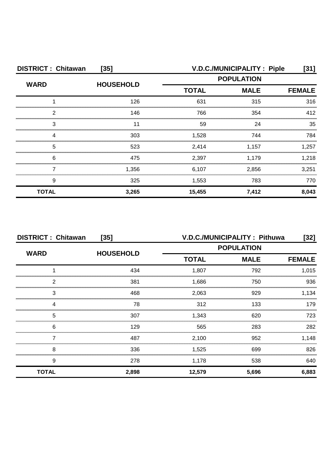| <b>DISTRICT: Chitawan</b><br>$[35]$ |                  | V.D.C./MUNICIPALITY: Piple<br>[31] |                   |               |  |
|-------------------------------------|------------------|------------------------------------|-------------------|---------------|--|
|                                     | <b>HOUSEHOLD</b> |                                    | <b>POPULATION</b> |               |  |
| <b>WARD</b>                         |                  | <b>TOTAL</b>                       | <b>MALE</b>       | <b>FEMALE</b> |  |
|                                     | 126              | 631                                | 315               | 316           |  |
| っ                                   | 146              | 766                                | 354               | 412           |  |
| 3                                   |                  | 59                                 | 24                | 35            |  |
|                                     | 303              | 1,528                              | 744               | 784           |  |
| 5                                   | 523              | 2,414                              | 1,157             | 1.257         |  |
| 6                                   | 475              | 2,397                              | 1.179             | 1.218         |  |
|                                     | 1.356            | 6,107                              | 2.856             | 3,251         |  |
| 9                                   | 325              | 1,553                              | 783               | 770           |  |
| <b>TOTAL</b>                        | 3,265            | 15,455                             | 7,412             | 8,043         |  |

| <b>DISTRICT: Chitawan</b><br>$[35]$ |                  | V.D.C./MUNICIPALITY: Pithuwa<br>[32] |                   |               |
|-------------------------------------|------------------|--------------------------------------|-------------------|---------------|
|                                     | <b>HOUSEHOLD</b> |                                      | <b>POPULATION</b> |               |
| <b>WARD</b>                         |                  | <b>TOTAL</b>                         | <b>MALE</b>       | <b>FEMALE</b> |
|                                     | 434              | 1,807                                | 792               | 1,015         |
| 2                                   | 381              | 1,686                                | 750               | 936           |
| 3                                   | 468              | 2,063                                | 929               | 1,134         |
|                                     | 78               | 312                                  | 133               | 179           |
| 5                                   | 307              | 1.343                                | 620               | 723.          |
| 6                                   | 129              | 565                                  | 283               | 282           |
|                                     | 487              | 2,100                                | 952               | 1,148         |
| 8                                   | 336              | 1,525                                | 699               | 826           |
| 9                                   | 278              | 1,178                                | 538               | 640           |
| <b>TOTAL</b>                        | 2,898            | 12,579                               | 5,696             | 6,883         |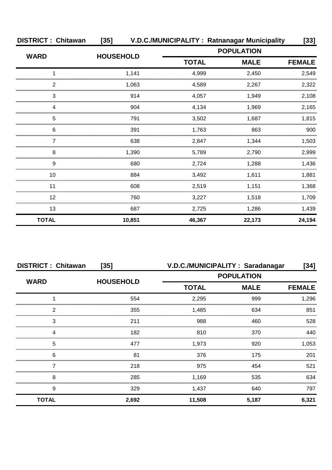| <b>DISTRICT: Chitawan</b> | $[35]$           | V.D.C./MUNICIPALITY: Ratnanagar Municipality |             | $[33]$        |
|---------------------------|------------------|----------------------------------------------|-------------|---------------|
| <b>WARD</b>               | <b>HOUSEHOLD</b> | <b>POPULATION</b>                            |             |               |
|                           |                  | <b>TOTAL</b>                                 | <b>MALE</b> | <b>FEMALE</b> |
| 1                         | 1,141            | 4,999                                        | 2,450       | 2,549         |
| 2                         | 1.063            | 4,589                                        | 2,267       | 2,322         |
| 3                         | 914              | 4,057                                        | 1,949       | 2,108         |
| 4                         | 904              | 4,134                                        | 1,969       | 2,165         |
| 5                         | 791              | 3,502                                        | 1.687       | 1,815         |
| 6                         | 391              | 1,763                                        | 863         | 900           |
| 7                         | 638              | 2,847                                        | 1,344       | 1,503         |
| 8                         | 1,390            | 5,789                                        | 2.790       | 2,999         |
| 9                         | 680              | 2,724                                        | 1,288       | 1,436         |
| 10                        | 884              | 3,492                                        | 1,611       | 1,881         |
| 11                        | 608              | 2,519                                        | 1,151       | 1,368         |
| 12                        | 760              | 3,227                                        | 1,518       | 1,709         |
| 13                        | 687              | 2,725                                        | 1,286       | 1,439         |
| <b>TOTAL</b>              | 10,851           | 46,367                                       | 22,173      | 24,194        |

| <b>DISTRICT: Chitawan</b> | $[35]$           |                   | V.D.C./MUNICIPALITY: Saradanagar | [34]          |
|---------------------------|------------------|-------------------|----------------------------------|---------------|
| <b>WARD</b>               | <b>HOUSEHOLD</b> | <b>POPULATION</b> |                                  |               |
|                           |                  | <b>TOTAL</b>      | <b>MALE</b>                      | <b>FEMALE</b> |
|                           | 554              | 2,295             | 999                              | 1,296         |
| ົ                         | 355              | 1,485             | 634                              | 851           |
| З                         | 211              | 988               | 460                              | 528           |
|                           | 182              | 810               | 370                              | 440           |
| 5                         | 477              | 1,973             | 920                              | 1,053         |
| 6                         | 81               | 376               | 175                              | 201           |
|                           | 218              | 975               | 454                              | 521           |
| 8                         | 285              | 1,169             | 535                              | 634           |
| 9                         | 329              | 1,437             | 640                              | 797           |
| <b>TOTAL</b>              | 2,692            | 11,508            | 5,187                            | 6,321         |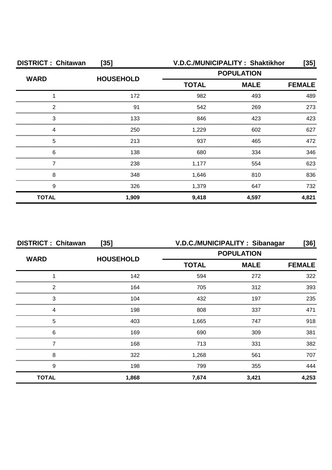| <b>DISTRICT: Chitawan</b><br>$[35]$ |                  |                   | V.D.C./MUNICIPALITY: Shaktikhor | [35]  |  |
|-------------------------------------|------------------|-------------------|---------------------------------|-------|--|
|                                     | <b>HOUSEHOLD</b> | <b>POPULATION</b> |                                 |       |  |
| <b>WARD</b>                         |                  | <b>TOTAL</b>      | <b>MALE</b>                     |       |  |
|                                     | 172              | 982               | 493                             | 489   |  |
| ົ                                   | 91               | 542               | 269                             | 273   |  |
| 3                                   | 133              | 846               | 423                             | 423   |  |
|                                     | 250              | 1,229             | 602                             | 627   |  |
| 5                                   | 213              | 937               | 465                             | 472   |  |
| 6                                   | 138              | 680               | 334                             | 346   |  |
|                                     | 238              | 1,177             | 554                             | 623   |  |
| 8                                   | 348              | 1,646             | 810                             | 836   |  |
| 9                                   | 326              | 1,379             | 647                             | 732   |  |
| <b>TOTAL</b>                        | 1,909            | 9,418             | 4,597                           | 4,821 |  |

| <b>DISTRICT: Chitawan</b><br>$[35]$ |                  | V.D.C./MUNICIPALITY: Sibanagar<br>[36] |                   |               |
|-------------------------------------|------------------|----------------------------------------|-------------------|---------------|
|                                     | <b>HOUSEHOLD</b> |                                        | <b>POPULATION</b> |               |
| <b>WARD</b>                         |                  | <b>TOTAL</b>                           | <b>MALE</b>       | <b>FEMALE</b> |
|                                     | 142              | 594                                    | 272               | 322           |
| 2                                   | 164              | 705                                    | 312               | 393           |
| 3                                   | 104              | 432                                    | 197               | 235           |
| Δ                                   | 198              | 808                                    | 337               | 471           |
| 5                                   | 403              | 1,665                                  | 747               | 918           |
| 6                                   | 169              | 690                                    | 309               | 381           |
|                                     | 168              | 713                                    | 331               | 382           |
| 8                                   | 322              | 1,268                                  | 561               | 707           |
| 9                                   | 198              | 799                                    | 355               | 444           |
| <b>TOTAL</b>                        | 1,868            | 7,674                                  | 3,421             | 4,253         |